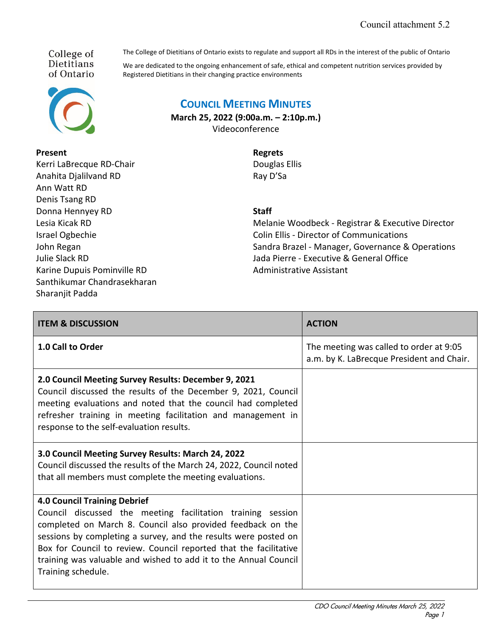College of **Dietitians** of Ontario



## **Present**

Kerri LaBrecque RD-Chair Anahita Djalilvand RD Ann Watt RD Denis Tsang RD Donna Hennyey RD Lesia Kicak RD Israel Ogbechie John Regan Julie Slack RD Karine Dupuis Pominville RD Santhikumar Chandrasekharan Sharanjit Padda

The College of Dietitians of Ontario exists to regulate and support all RDs in the interest of the public of Ontario

We are dedicated to the ongoing enhancement of safe, ethical and competent nutrition services provided by Registered Dietitians in their changing practice environments

## **COUNCIL MEETING MINUTES**

**March 25, 2022 (9:00a.m. – 2:10p.m.)** Videoconference

> **Regrets** Douglas Ellis Ray D'Sa

**Staff**

Melanie Woodbeck - Registrar & Executive Director Colin Ellis - Director of Communications Sandra Brazel - Manager, Governance & Operations Jada Pierre - Executive & General Office Administrative Assistant

| <b>ITEM &amp; DISCUSSION</b>                                                                                                                                                                                                                                                                                                                                                                        | <b>ACTION</b>                                                                        |
|-----------------------------------------------------------------------------------------------------------------------------------------------------------------------------------------------------------------------------------------------------------------------------------------------------------------------------------------------------------------------------------------------------|--------------------------------------------------------------------------------------|
| 1.0 Call to Order                                                                                                                                                                                                                                                                                                                                                                                   | The meeting was called to order at 9:05<br>a.m. by K. LaBrecque President and Chair. |
| 2.0 Council Meeting Survey Results: December 9, 2021<br>Council discussed the results of the December 9, 2021, Council<br>meeting evaluations and noted that the council had completed<br>refresher training in meeting facilitation and management in<br>response to the self-evaluation results.                                                                                                  |                                                                                      |
| 3.0 Council Meeting Survey Results: March 24, 2022<br>Council discussed the results of the March 24, 2022, Council noted<br>that all members must complete the meeting evaluations.                                                                                                                                                                                                                 |                                                                                      |
| <b>4.0 Council Training Debrief</b><br>Council discussed the meeting facilitation training session<br>completed on March 8. Council also provided feedback on the<br>sessions by completing a survey, and the results were posted on<br>Box for Council to review. Council reported that the facilitative<br>training was valuable and wished to add it to the Annual Council<br>Training schedule. |                                                                                      |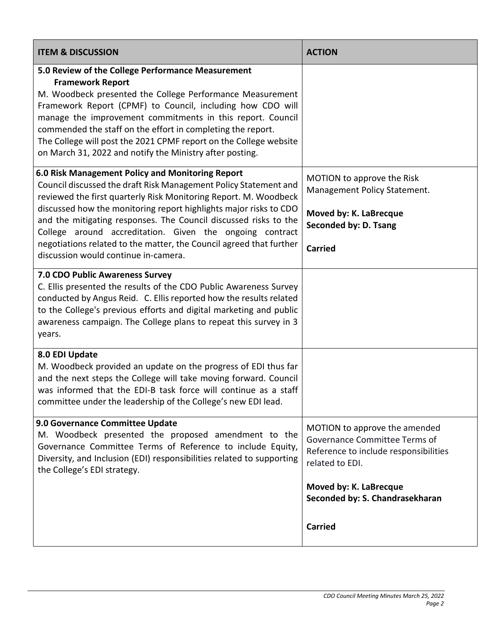| <b>ITEM &amp; DISCUSSION</b>                                                                                                                                                                                                                                                                                                                                                                                                                                                                                 | <b>ACTION</b>                                                                                                                                                                           |
|--------------------------------------------------------------------------------------------------------------------------------------------------------------------------------------------------------------------------------------------------------------------------------------------------------------------------------------------------------------------------------------------------------------------------------------------------------------------------------------------------------------|-----------------------------------------------------------------------------------------------------------------------------------------------------------------------------------------|
| 5.0 Review of the College Performance Measurement<br><b>Framework Report</b><br>M. Woodbeck presented the College Performance Measurement<br>Framework Report (CPMF) to Council, including how CDO will<br>manage the improvement commitments in this report. Council<br>commended the staff on the effort in completing the report.<br>The College will post the 2021 CPMF report on the College website<br>on March 31, 2022 and notify the Ministry after posting.                                        |                                                                                                                                                                                         |
| 6.0 Risk Management Policy and Monitoring Report<br>Council discussed the draft Risk Management Policy Statement and<br>reviewed the first quarterly Risk Monitoring Report. M. Woodbeck<br>discussed how the monitoring report highlights major risks to CDO<br>and the mitigating responses. The Council discussed risks to the<br>College around accreditation. Given the ongoing contract<br>negotiations related to the matter, the Council agreed that further<br>discussion would continue in-camera. | MOTION to approve the Risk<br>Management Policy Statement.<br>Moved by: K. LaBrecque<br>Seconded by: D. Tsang<br><b>Carried</b>                                                         |
| 7.0 CDO Public Awareness Survey<br>C. Ellis presented the results of the CDO Public Awareness Survey<br>conducted by Angus Reid. C. Ellis reported how the results related<br>to the College's previous efforts and digital marketing and public<br>awareness campaign. The College plans to repeat this survey in 3<br>years.                                                                                                                                                                               |                                                                                                                                                                                         |
| 8.0 EDI Update<br>M. Woodbeck provided an update on the progress of EDI thus far<br>and the next steps the College will take moving forward. Council<br>was informed that the EDI-B task force will continue as a staff<br>committee under the leadership of the College's new EDI lead.                                                                                                                                                                                                                     |                                                                                                                                                                                         |
| 9.0 Governance Committee Update<br>M. Woodbeck presented the proposed amendment to the<br>Governance Committee Terms of Reference to include Equity,<br>Diversity, and Inclusion (EDI) responsibilities related to supporting<br>the College's EDI strategy.                                                                                                                                                                                                                                                 | MOTION to approve the amended<br>Governance Committee Terms of<br>Reference to include responsibilities<br>related to EDI.<br>Moved by: K. LaBrecque<br>Seconded by: S. Chandrasekharan |
|                                                                                                                                                                                                                                                                                                                                                                                                                                                                                                              | <b>Carried</b>                                                                                                                                                                          |